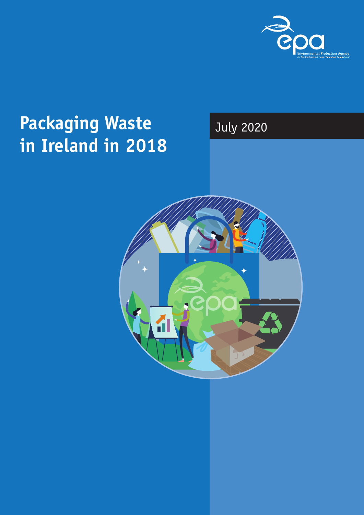

## **Packaging Waste in Ireland in 2018**

### July 2020

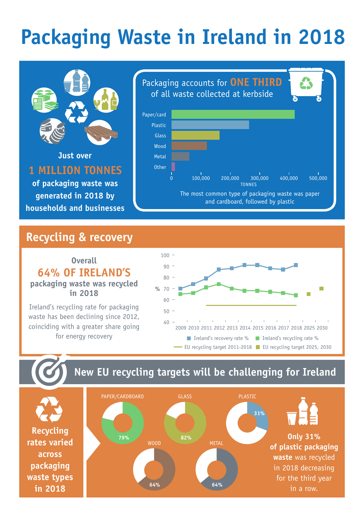# **Packaging Waste in Ireland in 2018**



**Just over 1 million tonnes of packaging waste was** 

**generated in 2018 by households and businesses**



#### **Recycling & recovery**

**Overall 64% of Ireland's packaging waste was recycled in 2018**

Ireland's recycling rate for packaging waste has been declining since 2012, coinciding with a greater share going for energy recovery



### **New EU recycling targets will be challenging for Ireland**

**Recycling rates varied across packaging waste types in 2018**

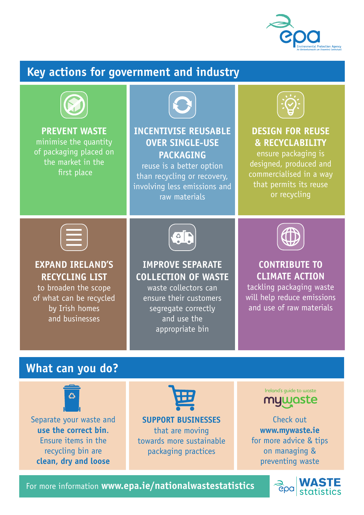

### **Key actions for government and industry**